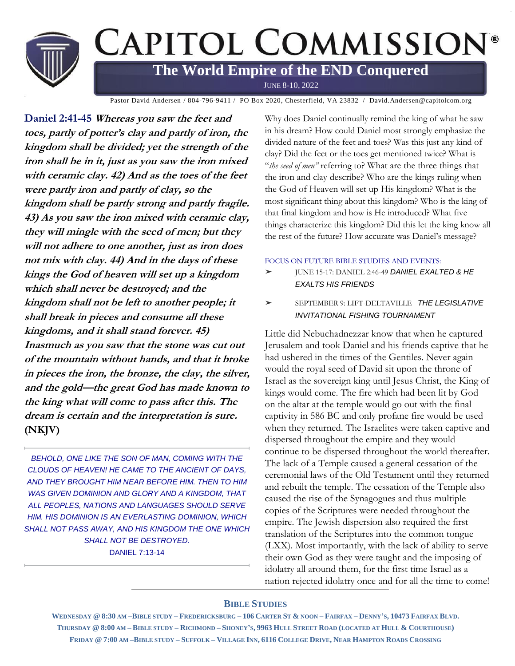

Pastor David Andersen / 804-796-9411 / PO Box 2020, Chesterfield, VA 23832 / David.Andersen@capitolcom.org

**Daniel 2:41-45 Whereas you saw the feet and toes, partly of potter's clay and partly of iron, the kingdom shall be divided; yet the strength of the iron shall be in it, just as you saw the iron mixed with ceramic clay. 42) And as the toes of the feet were partly iron and partly of clay, so the kingdom shall be partly strong and partly fragile. 43) As you saw the iron mixed with ceramic clay, they will mingle with the seed of men; but they will not adhere to one another, just as iron does not mix with clay. 44) And in the days of these kings the God of heaven will set up a kingdom which shall never be destroyed; and the kingdom shall not be left to another people; it shall break in pieces and consume all these kingdoms, and it shall stand forever. 45) Inasmuch as you saw that the stone was cut out of the mountain without hands, and that it broke in pieces the iron, the bronze, the clay, the silver, and the gold—the great God has made known to the king what will come to pass after this. The dream is certain and the interpretation is sure. (NKJV)**

*BEHOLD, ONE LIKE THE SON OF MAN, COMING WITH THE CLOUDS OF HEAVEN! HE CAME TO THE ANCIENT OF DAYS, AND THEY BROUGHT HIM NEAR BEFORE HIM. THEN TO HIM WAS GIVEN DOMINION AND GLORY AND A KINGDOM, THAT ALL PEOPLES, NATIONS AND LANGUAGES SHOULD SERVE HIM. HIS DOMINION IS AN EVERLASTING DOMINION, WHICH SHALL NOT PASS AWAY, AND HIS KINGDOM THE ONE WHICH SHALL NOT BE DESTROYED.*

DANIEL 7:13-14

Why does Daniel continually remind the king of what he saw in his dream? How could Daniel most strongly emphasize the divided nature of the feet and toes? Was this just any kind of clay? Did the feet or the toes get mentioned twice? What is "*the seed of men"* referring to? What are the three things that the iron and clay describe? Who are the kings ruling when the God of Heaven will set up His kingdom? What is the most significant thing about this kingdom? Who is the king of that final kingdom and how is He introduced? What five things characterize this kingdom? Did this let the king know all the rest of the future? How accurate was Daniel's message?

#### FOCUS ON FUTURE BIBLE STUDIES AND EVENTS:

- ➤ JUNE 15-17: DANIEL 2:46-49 *DANIEL EXALTED & HE EXALTS HIS FRIENDS*
- ➤ SEPTEMBER 9: LIFT-DELTAVILLE *THE LEGISLATIVE INVITATIONAL FISHING TOURNAMENT*

Little did Nebuchadnezzar know that when he captured Jerusalem and took Daniel and his friends captive that he had ushered in the times of the Gentiles. Never again would the royal seed of David sit upon the throne of Israel as the sovereign king until Jesus Christ, the King of kings would come. The fire which had been lit by God on the altar at the temple would go out with the final captivity in 586 BC and only profane fire would be used when they returned. The Israelites were taken captive and dispersed throughout the empire and they would continue to be dispersed throughout the world thereafter. The lack of a Temple caused a general cessation of the ceremonial laws of the Old Testament until they returned and rebuilt the temple. The cessation of the Temple also caused the rise of the Synagogues and thus multiple copies of the Scriptures were needed throughout the empire. The Jewish dispersion also required the first translation of the Scriptures into the common tongue (LXX). Most importantly, with the lack of ability to serve their own God as they were taught and the imposing of idolatry all around them, for the first time Israel as a nation rejected idolatry once and for all the time to come!

### **BIBLE STUDIES**

WEDNESDAY @ 8:30 AM-BIBLE STUDY-FREDERICKSBURG-106 CARTER ST & NOON-FAIRFAX-DENNY'S, 10473 FAIRFAX BLVD. THURSDAY @ 8:00 AM - BIBLE STUDY - RICHMOND - SHONEY'S, 9963 HULL STREET ROAD (LOCATED AT HULL & COURTHOUSE) FRIDAY @ 7:00 AM-BIBLE STUDY-SUFFOLK-VILLAGE INN, 6116 COLLEGE DRIVE, NEAR HAMPTON ROADS CROSSING